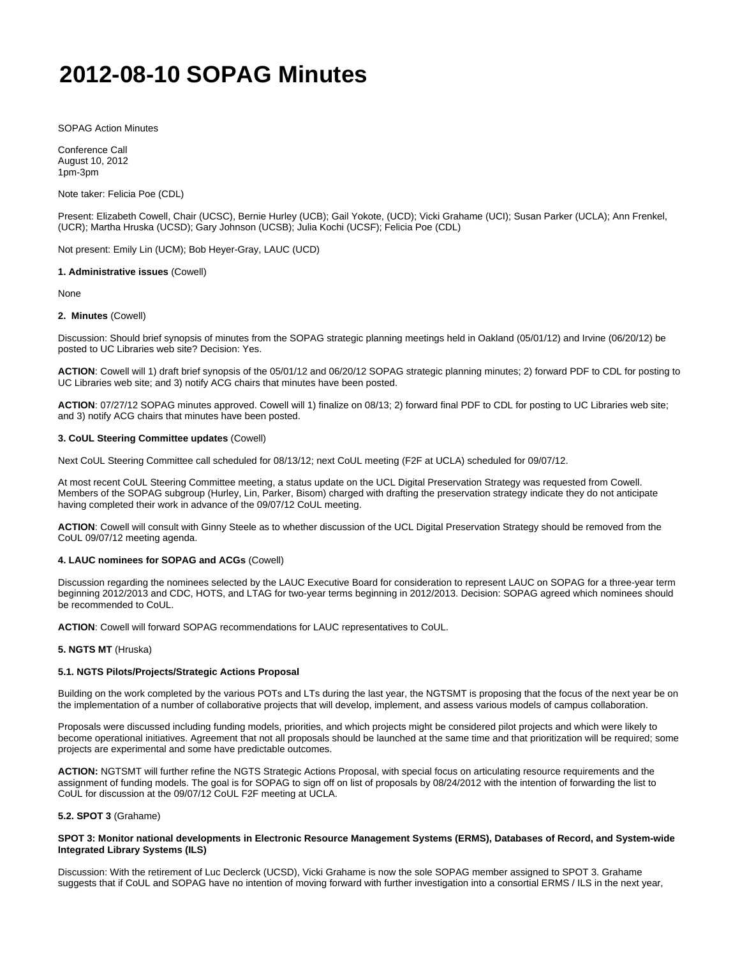# **2012-08-10 SOPAG Minutes**

SOPAG Action Minutes

Conference Call August 10, 2012 1pm-3pm

Note taker: Felicia Poe (CDL)

Present: Elizabeth Cowell, Chair (UCSC), Bernie Hurley (UCB); Gail Yokote, (UCD); Vicki Grahame (UCI); Susan Parker (UCLA); Ann Frenkel, (UCR); Martha Hruska (UCSD); Gary Johnson (UCSB); Julia Kochi (UCSF); Felicia Poe (CDL)

Not present: Emily Lin (UCM); Bob Heyer-Gray, LAUC (UCD)

# **1. Administrative issues** (Cowell)

None

# **2. Minutes** (Cowell)

Discussion: Should brief synopsis of minutes from the SOPAG strategic planning meetings held in Oakland (05/01/12) and Irvine (06/20/12) be posted to UC Libraries web site? Decision: Yes.

**ACTION**: Cowell will 1) draft brief synopsis of the 05/01/12 and 06/20/12 SOPAG strategic planning minutes; 2) forward PDF to CDL for posting to UC Libraries web site; and 3) notify ACG chairs that minutes have been posted.

**ACTION**: 07/27/12 SOPAG minutes approved. Cowell will 1) finalize on 08/13; 2) forward final PDF to CDL for posting to UC Libraries web site; and 3) notify ACG chairs that minutes have been posted.

# **3. CoUL Steering Committee updates** (Cowell)

Next CoUL Steering Committee call scheduled for 08/13/12; next CoUL meeting (F2F at UCLA) scheduled for 09/07/12.

At most recent CoUL Steering Committee meeting, a status update on the UCL Digital Preservation Strategy was requested from Cowell. Members of the SOPAG subgroup (Hurley, Lin, Parker, Bisom) charged with drafting the preservation strategy indicate they do not anticipate having completed their work in advance of the 09/07/12 CoUL meeting.

**ACTION**: Cowell will consult with Ginny Steele as to whether discussion of the UCL Digital Preservation Strategy should be removed from the CoUL 09/07/12 meeting agenda.

# **4. LAUC nominees for SOPAG and ACGs** (Cowell)

Discussion regarding the nominees selected by the LAUC Executive Board for consideration to represent LAUC on SOPAG for a three-year term beginning 2012/2013 and CDC, HOTS, and LTAG for two-year terms beginning in 2012/2013. Decision: SOPAG agreed which nominees should be recommended to CoUL.

**ACTION**: Cowell will forward SOPAG recommendations for LAUC representatives to CoUL.

#### **5. NGTS MT** (Hruska)

#### **5.1. NGTS Pilots/Projects/Strategic Actions Proposal**

Building on the work completed by the various POTs and LTs during the last year, the NGTSMT is proposing that the focus of the next year be on the implementation of a number of collaborative projects that will develop, implement, and assess various models of campus collaboration.

Proposals were discussed including funding models, priorities, and which projects might be considered pilot projects and which were likely to become operational initiatives. Agreement that not all proposals should be launched at the same time and that prioritization will be required; some projects are experimental and some have predictable outcomes.

**ACTION:** NGTSMT will further refine the NGTS Strategic Actions Proposal, with special focus on articulating resource requirements and the assignment of funding models. The goal is for SOPAG to sign off on list of proposals by 08/24/2012 with the intention of forwarding the list to CoUL for discussion at the 09/07/12 CoUL F2F meeting at UCLA.

#### **5.2. SPOT 3** (Grahame)

# **SPOT 3: Monitor national developments in Electronic Resource Management Systems (ERMS), Databases of Record, and System-wide Integrated Library Systems (ILS)**

Discussion: With the retirement of Luc Declerck (UCSD), Vicki Grahame is now the sole SOPAG member assigned to SPOT 3. Grahame suggests that if CoUL and SOPAG have no intention of moving forward with further investigation into a consortial ERMS / ILS in the next year,